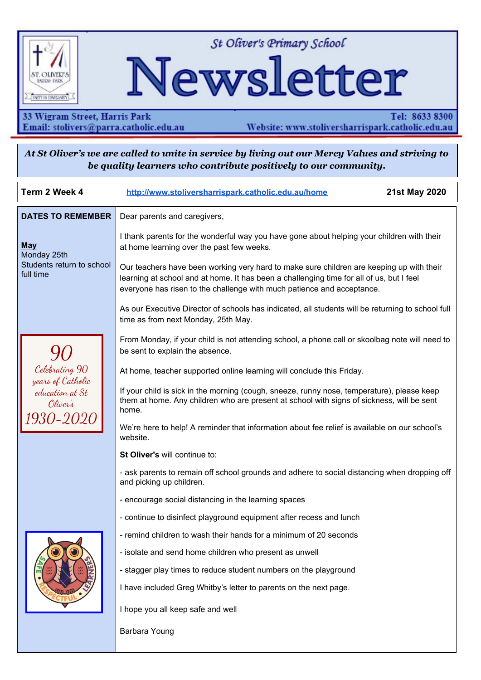

St Oliver's Primary School

# Newsletter

33 Wigram Street, Harris Park Email: stolivers@parra.catholic.edu.au

Tel: 8633 8300 Website: www.stoliversharrispark.catholic.edu.au

At St Oliver's we are called to unite in service by living out our Mercy Values and striving to be quality learners who contribute positively to our community.

| Term 2 Week 4                                                                          | http://www.stoliversharrispark.catholic.edu.au/home                                                                                                                                                                                                            | <b>21st May 2020</b> |
|----------------------------------------------------------------------------------------|----------------------------------------------------------------------------------------------------------------------------------------------------------------------------------------------------------------------------------------------------------------|----------------------|
| <b>DATES TO REMEMBER</b>                                                               | Dear parents and caregivers,                                                                                                                                                                                                                                   |                      |
| <b>May</b><br>Monday 25th<br>Students return to school<br>full time                    | I thank parents for the wonderful way you have gone about helping your children with their<br>at home learning over the past few weeks.                                                                                                                        |                      |
|                                                                                        | Our teachers have been working very hard to make sure children are keeping up with their<br>learning at school and at home. It has been a challenging time for all of us, but I feel<br>everyone has risen to the challenge with much patience and acceptance. |                      |
|                                                                                        | As our Executive Director of schools has indicated, all students will be returning to school full<br>time as from next Monday, 25th May.                                                                                                                       |                      |
| Celebrating 90<br>years of Catholic<br>education at St<br>Oliver's<br><i>1930-2020</i> | From Monday, if your child is not attending school, a phone call or skoolbag note will need to<br>be sent to explain the absence.                                                                                                                              |                      |
|                                                                                        | At home, teacher supported online learning will conclude this Friday.                                                                                                                                                                                          |                      |
|                                                                                        | If your child is sick in the morning (cough, sneeze, runny nose, temperature), please keep<br>them at home. Any children who are present at school with signs of sickness, will be sent<br>home.                                                               |                      |
|                                                                                        | We're here to help! A reminder that information about fee relief is available on our school's<br>website.                                                                                                                                                      |                      |
|                                                                                        | St Oliver's will continue to:                                                                                                                                                                                                                                  |                      |
|                                                                                        | - ask parents to remain off school grounds and adhere to social distancing when dropping off<br>and picking up children.                                                                                                                                       |                      |
|                                                                                        | - encourage social distancing in the learning spaces                                                                                                                                                                                                           |                      |
|                                                                                        | - continue to disinfect playground equipment after recess and lunch                                                                                                                                                                                            |                      |
|                                                                                        | - remind children to wash their hands for a minimum of 20 seconds                                                                                                                                                                                              |                      |
|                                                                                        | - isolate and send home children who present as unwell                                                                                                                                                                                                         |                      |
|                                                                                        | - stagger play times to reduce student numbers on the playground                                                                                                                                                                                               |                      |
|                                                                                        | I have included Greg Whitby's letter to parents on the next page.                                                                                                                                                                                              |                      |
|                                                                                        | I hope you all keep safe and well                                                                                                                                                                                                                              |                      |
|                                                                                        | Barbara Young                                                                                                                                                                                                                                                  |                      |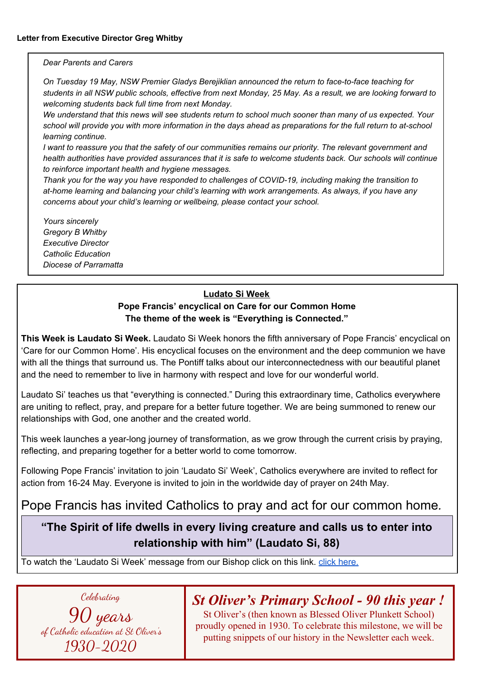#### *Dear Parents and Carers*

*On Tuesday 19 May, NSW Premier Gladys Berejiklian announced the return to face-to-face teaching for* students in all NSW public schools, effective from next Monday, 25 May. As a result, we are looking forward to *welcoming students back full time from next Monday.*

We understand that this news will see students return to school much sooner than many of us expected. Your school will provide you with more information in the days ahead as preparations for the full return to at-school *learning continue.*

I want to reassure you that the safety of our communities remains our priority. The relevant government and health authorities have provided assurances that it is safe to welcome students back. Our schools will continue *to reinforce important health and hygiene messages.*

*Thank you for the way you have responded to challenges of COVID-19, including making the transition to at-home learning and balancing your child's learning with work arrangements. As always, if you have any concerns about your child's learning or wellbeing, please contact your school.*

*Yours sincerely Gregory B Whitby Executive Director Catholic Education Diocese of Parramatta*

#### **Ludato Si Week**

#### **Pope Francis' encyclical on Care for our Common Home The theme of the week is "Everything is Connected."**

**This Week is Laudato Si Week.** Laudato Si Week honors the fifth anniversary of Pope Francis' encyclical on 'Care for our Common Home'. His encyclical focuses on the environment and the deep communion we have with all the things that surround us. The Pontiff talks about our interconnectedness with our beautiful planet and the need to remember to live in harmony with respect and love for our wonderful world.

Laudato Si' teaches us that "everything is connected." During this extraordinary time, Catholics everywhere are uniting to reflect, pray, and prepare for a better future together. We are being summoned to renew our relationships with God, one another and the created world.

This week launches a year-long journey of transformation, as we grow through the current crisis by praying, reflecting, and preparing together for a better world to come tomorrow.

Following Pope Francis' invitation to join 'Laudato Si' Week', Catholics everywhere are invited to reflect for action from 16-24 May. Everyone is invited to join in the worldwide day of prayer on 24th May.

## Pope Francis has invited Catholics to pray and act for our common home*.*

## **"The Spirit of life dwells in every living creature and calls us to enter into relationship with him" (Laudato Si, 88)**

To watch the 'Laudato Si Week' message from our Bishop click on this link. click [here.](https://youtu.be/-LLWjANWHzc)

Celebrating

90 years of Catholic education at St Oliver's 1930-2020

## *St Oliver's Primary School - 90 this year !*

St Oliver's (then known as Blessed Oliver Plunkett School) proudly opened in 1930. To celebrate this milestone, we will be putting snippets of our history in the Newsletter each week.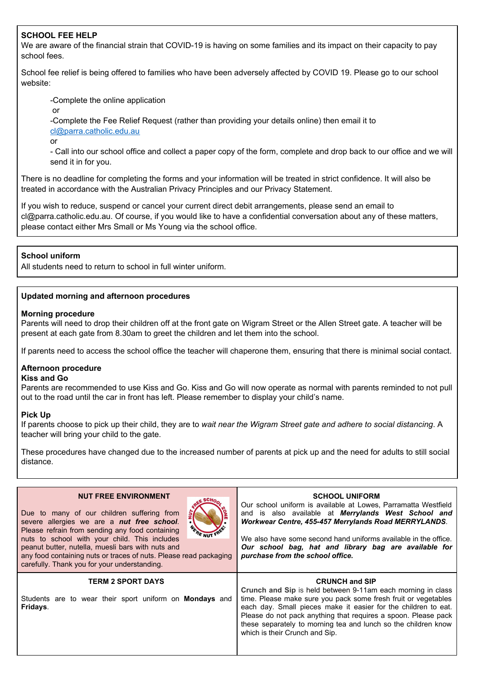#### **SCHOOL FEE HELP**

We are aware of the financial strain that COVID-19 is having on some families and its impact on their capacity to pay school fees.

School fee relief is being offered to families who have been adversely affected by COVID 19. Please go to our school website:

-Complete the online application

or

-Complete the Fee Relief Request (rather than providing your details online) then email it to [cl@parra.catholic.edu.au](mailto:cl@parra.catholic.edu.au)

or

- Call into our school office and collect a paper copy of the form, complete and drop back to our office and we will send it in for you.

There is no deadline for completing the forms and your information will be treated in strict confidence. It will also be treated in accordance with the Australian Privacy Principles and our Privacy Statement.

If you wish to reduce, suspend or cancel your current direct debit arrangements, please send an email to cl@parra.catholic.edu.au. Of course, if you would like to have a confidential conversation about any of these matters, please contact either Mrs Small or Ms Young via the school office.

#### **School uniform**

All students need to return to school in full winter uniform.

#### **Updated morning and afternoon procedures**

#### **Morning procedure**

Parents will need to drop their children off at the front gate on Wigram Street or the Allen Street gate. A teacher will be present at each gate from 8.30am to greet the children and let them into the school.

If parents need to access the school office the teacher will chaperone them, ensuring that there is minimal social contact.

## **Afternoon procedure**

#### **Kiss and Go**

Parents are recommended to use Kiss and Go. Kiss and Go will now operate as normal with parents reminded to not pull out to the road until the car in front has left. Please remember to display your child's name.

#### **Pick Up**

If parents choose to pick up their child, they are to *wait near the Wigram Street gate and adhere to social distancing*. A teacher will bring your child to the gate.

These procedures have changed due to the increased number of parents at pick up and the need for adults to still social distance.

| <b>NUT FREE ENVIRONMENT</b><br>Due to many of our children suffering from<br>severe allergies we are a nut free school.<br><b>ERE NUT !</b><br>Please refrain from sending any food containing<br>nuts to school with your child. This includes<br>peanut butter, nutella, muesli bars with nuts and<br>any food containing nuts or traces of nuts. Please read packaging<br>carefully. Thank you for your understanding. | <b>SCHOOL UNIFORM</b><br>Our school uniform is available at Lowes, Parramatta Westfield<br>and is also available at Merrylands West School and<br>Workwear Centre, 455-457 Merrylands Road MERRYLANDS.<br>We also have some second hand uniforms available in the office.<br>Our school bag, hat and library bag are available for<br>purchase from the school office.                         |
|---------------------------------------------------------------------------------------------------------------------------------------------------------------------------------------------------------------------------------------------------------------------------------------------------------------------------------------------------------------------------------------------------------------------------|------------------------------------------------------------------------------------------------------------------------------------------------------------------------------------------------------------------------------------------------------------------------------------------------------------------------------------------------------------------------------------------------|
| <b>TERM 2 SPORT DAYS</b><br>Students are to wear their sport uniform on <b>Mondays</b> and<br>Fridays.                                                                                                                                                                                                                                                                                                                    | <b>CRUNCH and SIP</b><br>Crunch and Sip is held between 9-11am each morning in class<br>time. Please make sure you pack some fresh fruit or vegetables<br>each day. Small pieces make it easier for the children to eat.<br>Please do not pack anything that requires a spoon. Please pack<br>these separately to morning tea and lunch so the children know<br>which is their Crunch and Sip. |